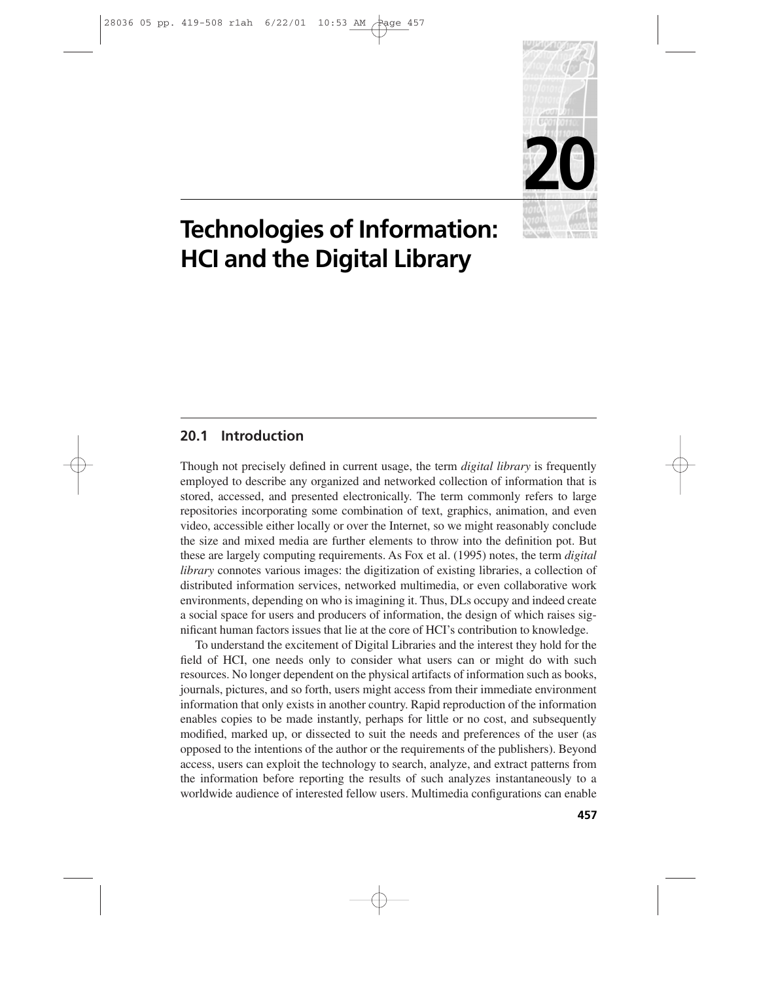

# **20.1 Introduction**

Though not precisely defined in current usage, the term *digital library* is frequently employed to describe any organized and networked collection of information that is stored, accessed, and presented electronically. The term commonly refers to large repositories incorporating some combination of text, graphics, animation, and even video, accessible either locally or over the Internet, so we might reasonably conclude the size and mixed media are further elements to throw into the definition pot. But these are largely computing requirements. As Fox et al. (1995) notes, the term *digital library* connotes various images: the digitization of existing libraries, a collection of distributed information services, networked multimedia, or even collaborative work environments, depending on who is imagining it. Thus, DLs occupy and indeed create a social space for users and producers of information, the design of which raises significant human factors issues that lie at the core of HCI's contribution to knowledge.

To understand the excitement of Digital Libraries and the interest they hold for the field of HCI, one needs only to consider what users can or might do with such resources. No longer dependent on the physical artifacts of information such as books, journals, pictures, and so forth, users might access from their immediate environment information that only exists in another country. Rapid reproduction of the information enables copies to be made instantly, perhaps for little or no cost, and subsequently modified, marked up, or dissected to suit the needs and preferences of the user (as opposed to the intentions of the author or the requirements of the publishers). Beyond access, users can exploit the technology to search, analyze, and extract patterns from the information before reporting the results of such analyzes instantaneously to a worldwide audience of interested fellow users. Multimedia configurations can enable  $\overline{1}$ 21  $\overline{\mathcal{A}}$ 23 24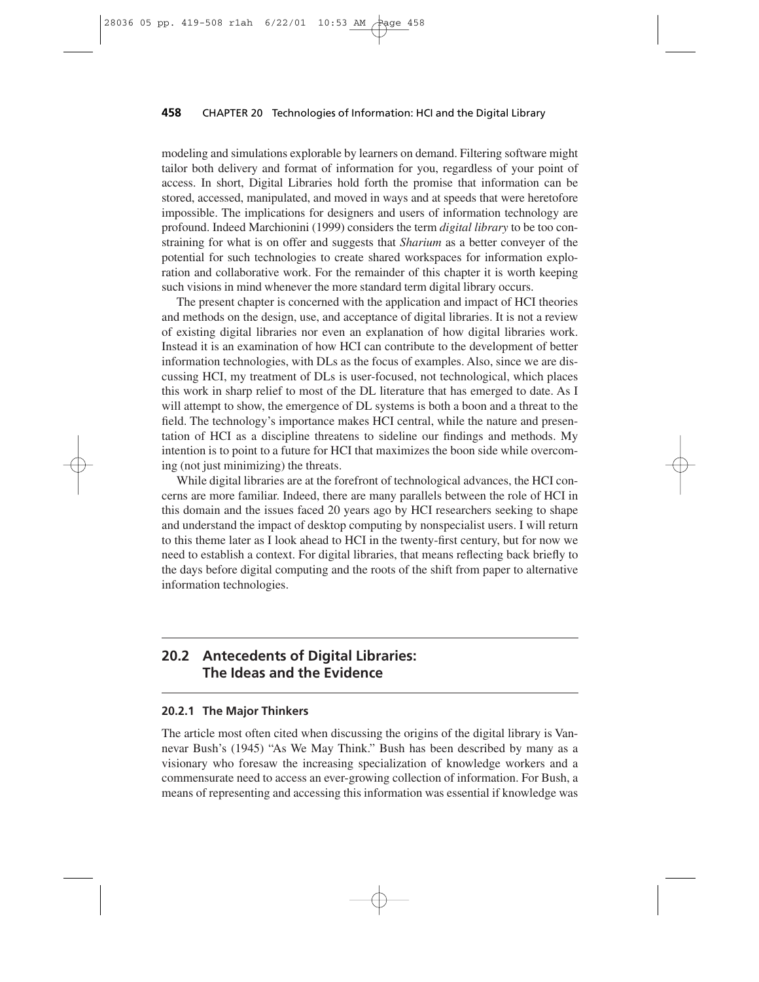modeling and simulations explorable by learners on demand. Filtering software might tailor both delivery and format of information for you, regardless of your point of access. In short, Digital Libraries hold forth the promise that information can be stored, accessed, manipulated, and moved in ways and at speeds that were heretofore impossible. The implications for designers and users of information technology are profound. Indeed Marchionini (1999) considers the term *digital library* to be too constraining for what is on offer and suggests that *Sharium* as a better conveyer of the potential for such technologies to create shared workspaces for information exploration and collaborative work. For the remainder of this chapter it is worth keeping such visions in mind whenever the more standard term digital library occurs.

The present chapter is concerned with the application and impact of HCI theories and methods on the design, use, and acceptance of digital libraries. It is not a review of existing digital libraries nor even an explanation of how digital libraries work. Instead it is an examination of how HCI can contribute to the development of better information technologies, with DLs as the focus of examples. Also, since we are discussing HCI, my treatment of DLs is user-focused, not technological, which places this work in sharp relief to most of the DL literature that has emerged to date. As I will attempt to show, the emergence of DL systems is both a boon and a threat to the field. The technology's importance makes HCI central, while the nature and presentation of HCI as a discipline threatens to sideline our findings and methods. My intention is to point to a future for HCI that maximizes the boon side while overcoming (not just minimizing) the threats.

While digital libraries are at the forefront of technological advances, the HCI concerns are more familiar. Indeed, there are many parallels between the role of HCI in this domain and the issues faced 20 years ago by HCI researchers seeking to shape and understand the impact of desktop computing by nonspecialist users. I will return to this theme later as I look ahead to HCI in the twenty-first century, but for now we need to establish a context. For digital libraries, that means reflecting back briefly to the days before digital computing and the roots of the shift from paper to alternative information technologies.

# **20.2 Antecedents of Digital Libraries: The Ideas and the Evidence**

# **20.2.1 The Major Thinkers**

 $\mathbb{R}^2$ 21  $\rightarrow$ 23 24

> The article most often cited when discussing the origins of the digital library is Vannevar Bush's (1945) "As We May Think." Bush has been described by many as a visionary who foresaw the increasing specialization of knowledge workers and a commensurate need to access an ever-growing collection of information. For Bush, a means of representing and accessing this information was essential if knowledge was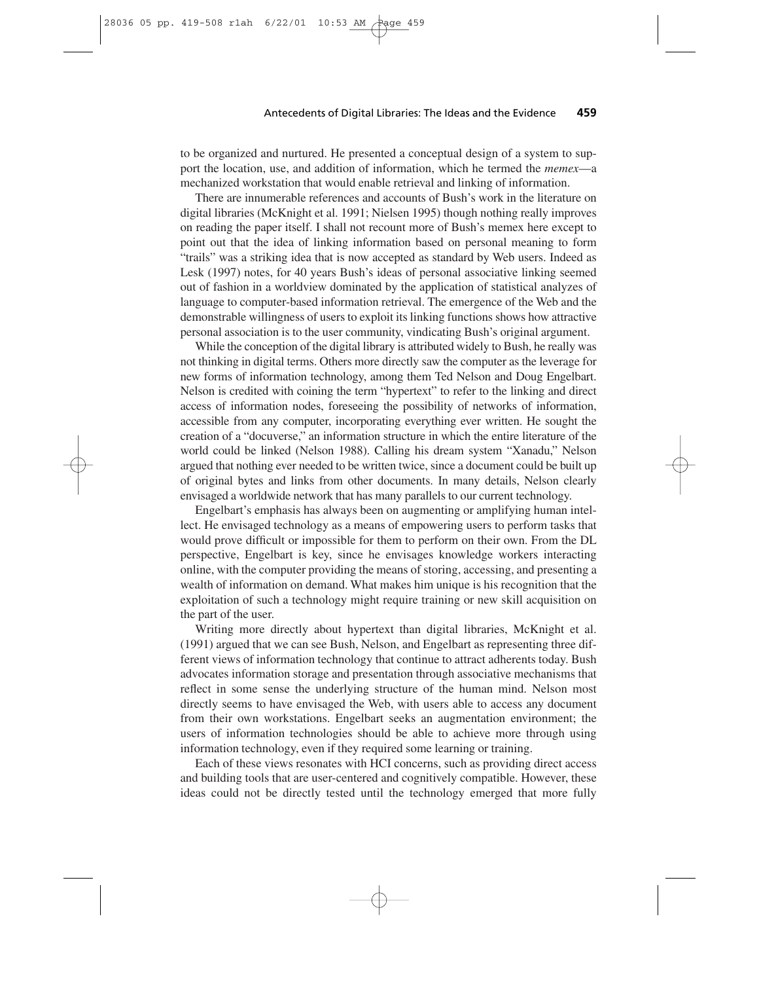to be organized and nurtured. He presented a conceptual design of a system to support the location, use, and addition of information, which he termed the *memex*—a mechanized workstation that would enable retrieval and linking of information.

There are innumerable references and accounts of Bush's work in the literature on digital libraries (McKnight et al. 1991; Nielsen 1995) though nothing really improves on reading the paper itself. I shall not recount more of Bush's memex here except to point out that the idea of linking information based on personal meaning to form "trails" was a striking idea that is now accepted as standard by Web users. Indeed as Lesk (1997) notes, for 40 years Bush's ideas of personal associative linking seemed out of fashion in a worldview dominated by the application of statistical analyzes of language to computer-based information retrieval. The emergence of the Web and the demonstrable willingness of users to exploit its linking functions shows how attractive personal association is to the user community, vindicating Bush's original argument.

While the conception of the digital library is attributed widely to Bush, he really was not thinking in digital terms. Others more directly saw the computer as the leverage for new forms of information technology, among them Ted Nelson and Doug Engelbart. Nelson is credited with coining the term "hypertext" to refer to the linking and direct access of information nodes, foreseeing the possibility of networks of information, accessible from any computer, incorporating everything ever written. He sought the creation of a "docuverse," an information structure in which the entire literature of the world could be linked (Nelson 1988). Calling his dream system "Xanadu," Nelson argued that nothing ever needed to be written twice, since a document could be built up of original bytes and links from other documents. In many details, Nelson clearly envisaged a worldwide network that has many parallels to our current technology.

 $\overline{1}$ 21  $\overline{\mathcal{A}}$ 23 24

Engelbart's emphasis has always been on augmenting or amplifying human intellect. He envisaged technology as a means of empowering users to perform tasks that would prove difficult or impossible for them to perform on their own. From the DL perspective, Engelbart is key, since he envisages knowledge workers interacting online, with the computer providing the means of storing, accessing, and presenting a wealth of information on demand. What makes him unique is his recognition that the exploitation of such a technology might require training or new skill acquisition on the part of the user.

Writing more directly about hypertext than digital libraries, McKnight et al. (1991) argued that we can see Bush, Nelson, and Engelbart as representing three different views of information technology that continue to attract adherents today. Bush advocates information storage and presentation through associative mechanisms that reflect in some sense the underlying structure of the human mind. Nelson most directly seems to have envisaged the Web, with users able to access any document from their own workstations. Engelbart seeks an augmentation environment; the users of information technologies should be able to achieve more through using information technology, even if they required some learning or training.

Each of these views resonates with HCI concerns, such as providing direct access and building tools that are user-centered and cognitively compatible. However, these ideas could not be directly tested until the technology emerged that more fully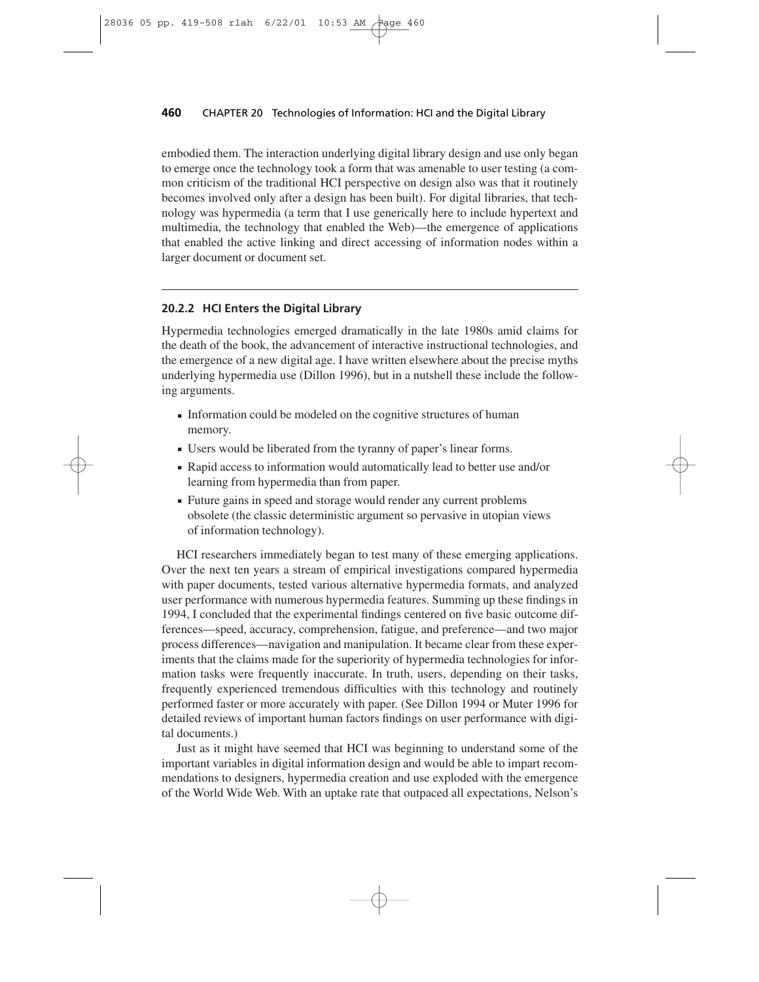embodied them. The interaction underlying digital library design and use only began to emerge once the technology took a form that was amenable to user testing (a common criticism of the traditional HCI perspective on design also was that it routinely becomes involved only after a design has been built). For digital libraries, that technology was hypermedia (a term that I use generically here to include hypertext and multimedia, the technology that enabled the Web)—the emergence of applications that enabled the active linking and direct accessing of information nodes within a larger document or document set.

## **20.2.2 HCI Enters the Digital Library**

 $\mathbb{R}^2$ 21  $\rightarrow$ 23 24 Hypermedia technologies emerged dramatically in the late 1980s amid claims for the death of the book, the advancement of interactive instructional technologies, and the emergence of a new digital age. I have written elsewhere about the precise myths underlying hypermedia use (Dillon 1996), but in a nutshell these include the following arguments.

- Information could be modeled on the cognitive structures of human memory.
- Users would be liberated from the tyranny of paper's linear forms.
- Rapid access to information would automatically lead to better use and/or learning from hypermedia than from paper.
- Future gains in speed and storage would render any current problems obsolete (the classic deterministic argument so pervasive in utopian views of information technology).

HCI researchers immediately began to test many of these emerging applications. Over the next ten years a stream of empirical investigations compared hypermedia with paper documents, tested various alternative hypermedia formats, and analyzed user performance with numerous hypermedia features. Summing up these findings in 1994, I concluded that the experimental findings centered on five basic outcome differences—speed, accuracy, comprehension, fatigue, and preference—and two major process differences—navigation and manipulation. It became clear from these experiments that the claims made for the superiority of hypermedia technologies for information tasks were frequently inaccurate. In truth, users, depending on their tasks, frequently experienced tremendous difficulties with this technology and routinely performed faster or more accurately with paper. (See Dillon 1994 or Muter 1996 for detailed reviews of important human factors findings on user performance with digital documents.)

Just as it might have seemed that HCI was beginning to understand some of the important variables in digital information design and would be able to impart recommendations to designers, hypermedia creation and use exploded with the emergence of the World Wide Web. With an uptake rate that outpaced all expectations, Nelson's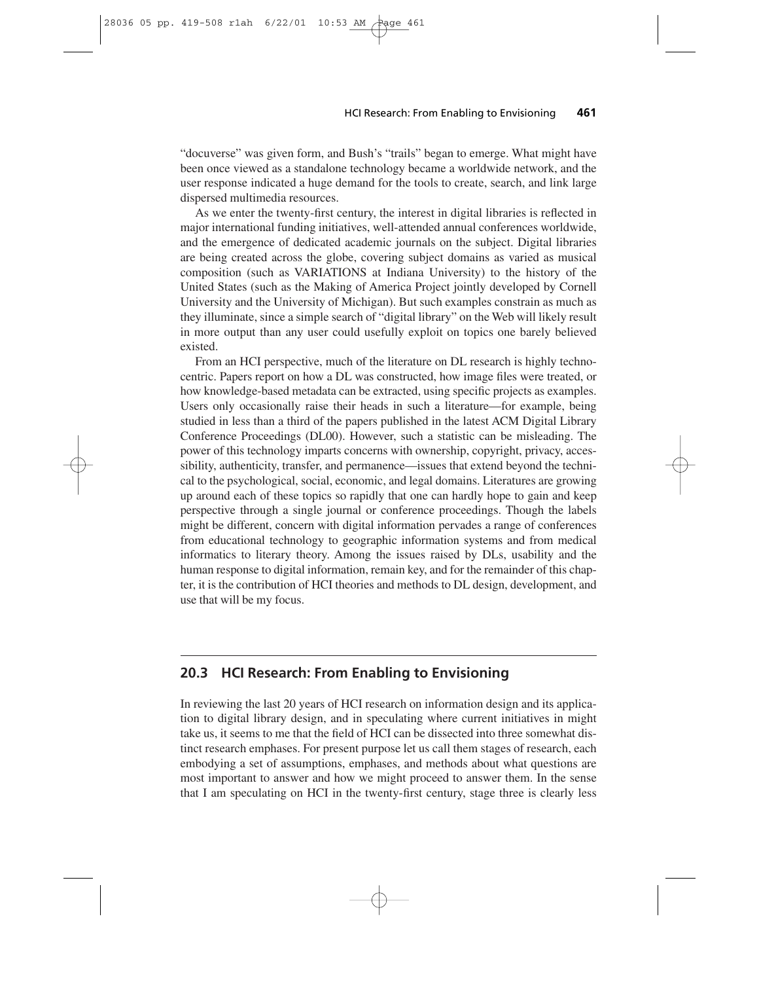"docuverse" was given form, and Bush's "trails" began to emerge. What might have been once viewed as a standalone technology became a worldwide network, and the user response indicated a huge demand for the tools to create, search, and link large dispersed multimedia resources.

As we enter the twenty-first century, the interest in digital libraries is reflected in major international funding initiatives, well-attended annual conferences worldwide, and the emergence of dedicated academic journals on the subject. Digital libraries are being created across the globe, covering subject domains as varied as musical composition (such as VARIATIONS at Indiana University) to the history of the United States (such as the Making of America Project jointly developed by Cornell University and the University of Michigan). But such examples constrain as much as they illuminate, since a simple search of "digital library" on the Web will likely result in more output than any user could usefully exploit on topics one barely believed existed.

From an HCI perspective, much of the literature on DL research is highly technocentric. Papers report on how a DL was constructed, how image files were treated, or how knowledge-based metadata can be extracted, using specific projects as examples. Users only occasionally raise their heads in such a literature—for example, being studied in less than a third of the papers published in the latest ACM Digital Library Conference Proceedings (DL00). However, such a statistic can be misleading. The power of this technology imparts concerns with ownership, copyright, privacy, accessibility, authenticity, transfer, and permanence—issues that extend beyond the technical to the psychological, social, economic, and legal domains. Literatures are growing up around each of these topics so rapidly that one can hardly hope to gain and keep perspective through a single journal or conference proceedings. Though the labels might be different, concern with digital information pervades a range of conferences from educational technology to geographic information systems and from medical informatics to literary theory. Among the issues raised by DLs, usability and the human response to digital information, remain key, and for the remainder of this chapter, it is the contribution of HCI theories and methods to DL design, development, and use that will be my focus.

# **20.3 HCI Research: From Enabling to Envisioning**

In reviewing the last 20 years of HCI research on information design and its application to digital library design, and in speculating where current initiatives in might take us, it seems to me that the field of HCI can be dissected into three somewhat distinct research emphases. For present purpose let us call them stages of research, each embodying a set of assumptions, emphases, and methods about what questions are most important to answer and how we might proceed to answer them. In the sense that I am speculating on HCI in the twenty-first century, stage three is clearly less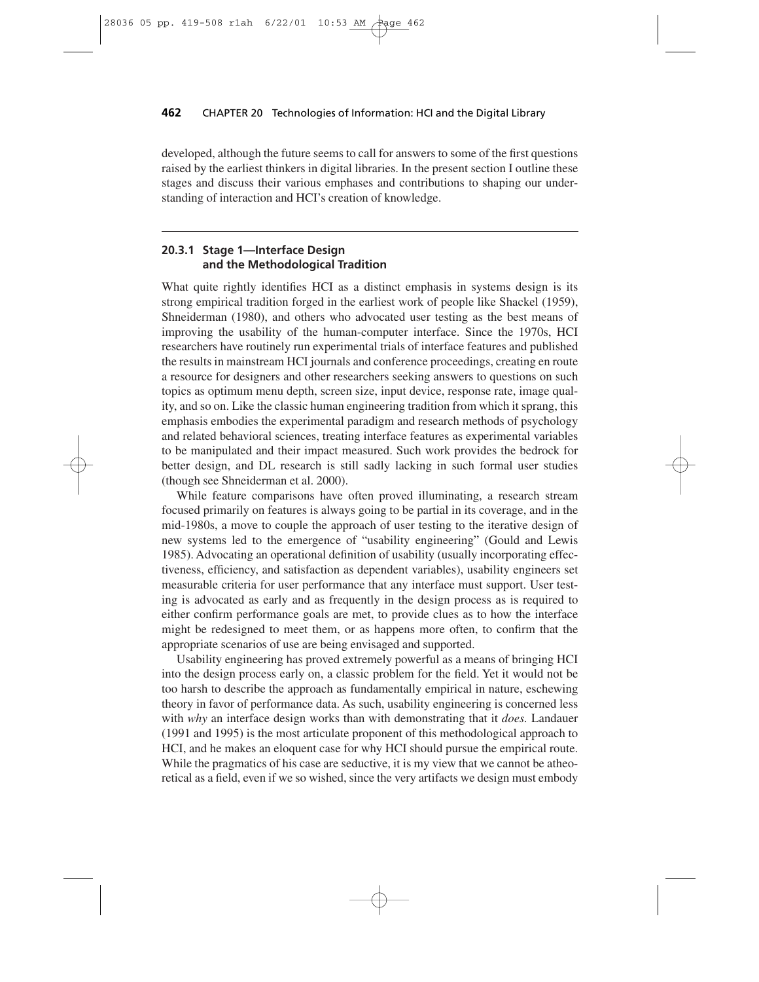developed, although the future seems to call for answers to some of the first questions raised by the earliest thinkers in digital libraries. In the present section I outline these stages and discuss their various emphases and contributions to shaping our understanding of interaction and HCI's creation of knowledge.

# **20.3.1 Stage 1—Interface Design and the Methodological Tradition**

 $\mathbb{R}^2$ 21  $\rightarrow$ 23 24 What quite rightly identifies HCI as a distinct emphasis in systems design is its strong empirical tradition forged in the earliest work of people like Shackel (1959), Shneiderman (1980), and others who advocated user testing as the best means of improving the usability of the human-computer interface. Since the 1970s, HCI researchers have routinely run experimental trials of interface features and published the results in mainstream HCI journals and conference proceedings, creating en route a resource for designers and other researchers seeking answers to questions on such topics as optimum menu depth, screen size, input device, response rate, image quality, and so on. Like the classic human engineering tradition from which it sprang, this emphasis embodies the experimental paradigm and research methods of psychology and related behavioral sciences, treating interface features as experimental variables to be manipulated and their impact measured. Such work provides the bedrock for better design, and DL research is still sadly lacking in such formal user studies (though see Shneiderman et al. 2000).

While feature comparisons have often proved illuminating, a research stream focused primarily on features is always going to be partial in its coverage, and in the mid-1980s, a move to couple the approach of user testing to the iterative design of new systems led to the emergence of "usability engineering" (Gould and Lewis 1985). Advocating an operational definition of usability (usually incorporating effectiveness, efficiency, and satisfaction as dependent variables), usability engineers set measurable criteria for user performance that any interface must support. User testing is advocated as early and as frequently in the design process as is required to either confirm performance goals are met, to provide clues as to how the interface might be redesigned to meet them, or as happens more often, to confirm that the appropriate scenarios of use are being envisaged and supported.

Usability engineering has proved extremely powerful as a means of bringing HCI into the design process early on, a classic problem for the field. Yet it would not be too harsh to describe the approach as fundamentally empirical in nature, eschewing theory in favor of performance data. As such, usability engineering is concerned less with *why* an interface design works than with demonstrating that it *does.* Landauer (1991 and 1995) is the most articulate proponent of this methodological approach to HCI, and he makes an eloquent case for why HCI should pursue the empirical route. While the pragmatics of his case are seductive, it is my view that we cannot be atheoretical as a field, even if we so wished, since the very artifacts we design must embody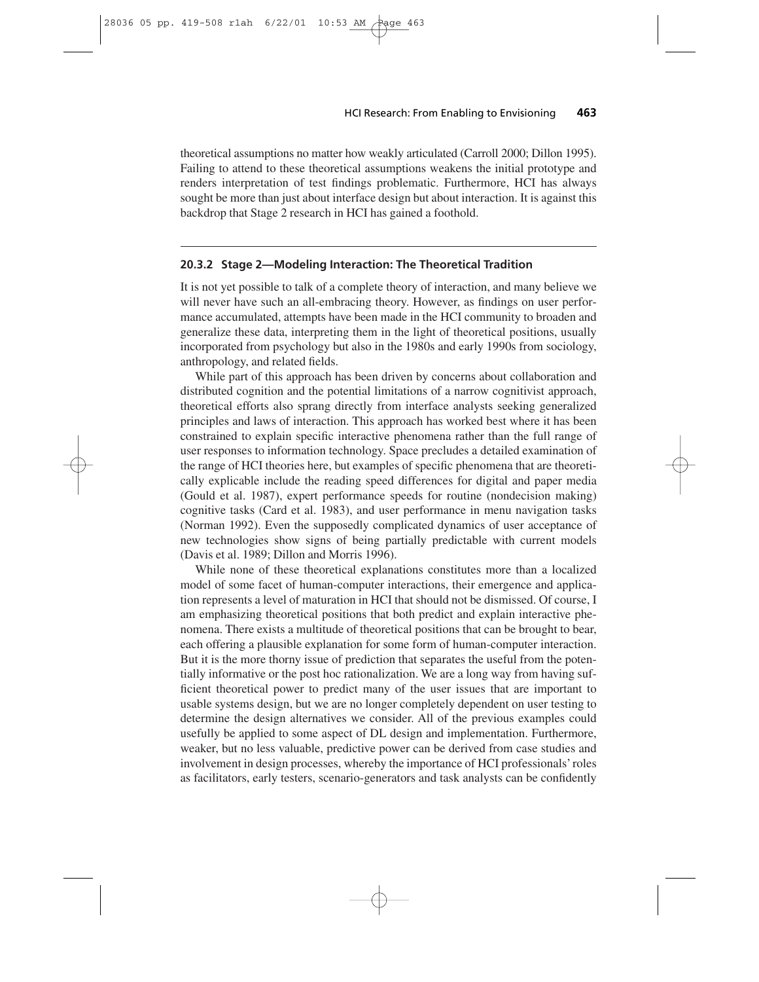## HCI Research: From Enabling to Envisioning **463**

 $\overline{1}$ 21  $\overline{\mathcal{A}}$ 23 24

theoretical assumptions no matter how weakly articulated (Carroll 2000; Dillon 1995). Failing to attend to these theoretical assumptions weakens the initial prototype and renders interpretation of test findings problematic. Furthermore, HCI has always sought be more than just about interface design but about interaction. It is against this backdrop that Stage 2 research in HCI has gained a foothold.

# **20.3.2 Stage 2—Modeling Interaction: The Theoretical Tradition**

It is not yet possible to talk of a complete theory of interaction, and many believe we will never have such an all-embracing theory. However, as findings on user performance accumulated, attempts have been made in the HCI community to broaden and generalize these data, interpreting them in the light of theoretical positions, usually incorporated from psychology but also in the 1980s and early 1990s from sociology, anthropology, and related fields.

While part of this approach has been driven by concerns about collaboration and distributed cognition and the potential limitations of a narrow cognitivist approach, theoretical efforts also sprang directly from interface analysts seeking generalized principles and laws of interaction. This approach has worked best where it has been constrained to explain specific interactive phenomena rather than the full range of user responses to information technology. Space precludes a detailed examination of the range of HCI theories here, but examples of specific phenomena that are theoretically explicable include the reading speed differences for digital and paper media (Gould et al. 1987), expert performance speeds for routine (nondecision making) cognitive tasks (Card et al. 1983), and user performance in menu navigation tasks (Norman 1992). Even the supposedly complicated dynamics of user acceptance of new technologies show signs of being partially predictable with current models (Davis et al. 1989; Dillon and Morris 1996).

While none of these theoretical explanations constitutes more than a localized model of some facet of human-computer interactions, their emergence and application represents a level of maturation in HCI that should not be dismissed. Of course, I am emphasizing theoretical positions that both predict and explain interactive phenomena. There exists a multitude of theoretical positions that can be brought to bear, each offering a plausible explanation for some form of human-computer interaction. But it is the more thorny issue of prediction that separates the useful from the potentially informative or the post hoc rationalization. We are a long way from having sufficient theoretical power to predict many of the user issues that are important to usable systems design, but we are no longer completely dependent on user testing to determine the design alternatives we consider. All of the previous examples could usefully be applied to some aspect of DL design and implementation. Furthermore, weaker, but no less valuable, predictive power can be derived from case studies and involvement in design processes, whereby the importance of HCI professionals' roles as facilitators, early testers, scenario-generators and task analysts can be confidently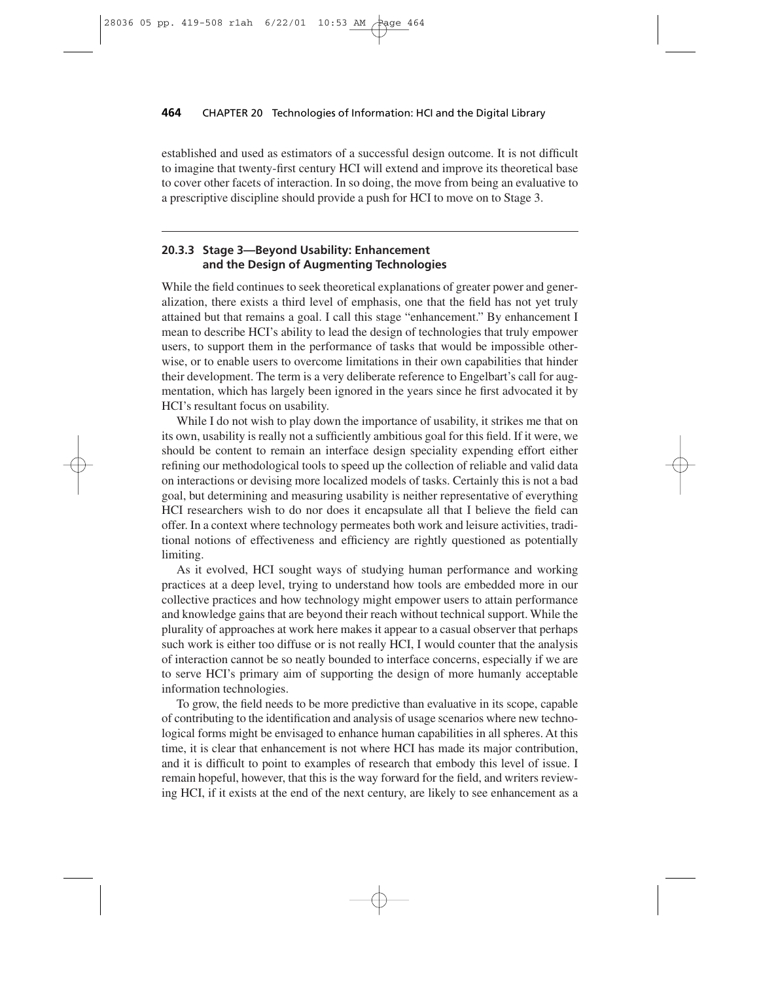established and used as estimators of a successful design outcome. It is not difficult to imagine that twenty-first century HCI will extend and improve its theoretical base to cover other facets of interaction. In so doing, the move from being an evaluative to a prescriptive discipline should provide a push for HCI to move on to Stage 3.

# **20.3.3 Stage 3—Beyond Usability: Enhancement and the Design of Augmenting Technologies**

 $\mathbb{R}^2$ 21  $\rightarrow$ 23 24 While the field continues to seek theoretical explanations of greater power and generalization, there exists a third level of emphasis, one that the field has not yet truly attained but that remains a goal. I call this stage "enhancement." By enhancement I mean to describe HCI's ability to lead the design of technologies that truly empower users, to support them in the performance of tasks that would be impossible otherwise, or to enable users to overcome limitations in their own capabilities that hinder their development. The term is a very deliberate reference to Engelbart's call for augmentation, which has largely been ignored in the years since he first advocated it by HCI's resultant focus on usability.

While I do not wish to play down the importance of usability, it strikes me that on its own, usability is really not a sufficiently ambitious goal for this field. If it were, we should be content to remain an interface design speciality expending effort either refining our methodological tools to speed up the collection of reliable and valid data on interactions or devising more localized models of tasks. Certainly this is not a bad goal, but determining and measuring usability is neither representative of everything HCI researchers wish to do nor does it encapsulate all that I believe the field can offer. In a context where technology permeates both work and leisure activities, traditional notions of effectiveness and efficiency are rightly questioned as potentially limiting.

As it evolved, HCI sought ways of studying human performance and working practices at a deep level, trying to understand how tools are embedded more in our collective practices and how technology might empower users to attain performance and knowledge gains that are beyond their reach without technical support. While the plurality of approaches at work here makes it appear to a casual observer that perhaps such work is either too diffuse or is not really HCI, I would counter that the analysis of interaction cannot be so neatly bounded to interface concerns, especially if we are to serve HCI's primary aim of supporting the design of more humanly acceptable information technologies.

To grow, the field needs to be more predictive than evaluative in its scope, capable of contributing to the identification and analysis of usage scenarios where new technological forms might be envisaged to enhance human capabilities in all spheres. At this time, it is clear that enhancement is not where HCI has made its major contribution, and it is difficult to point to examples of research that embody this level of issue. I remain hopeful, however, that this is the way forward for the field, and writers reviewing HCI, if it exists at the end of the next century, are likely to see enhancement as a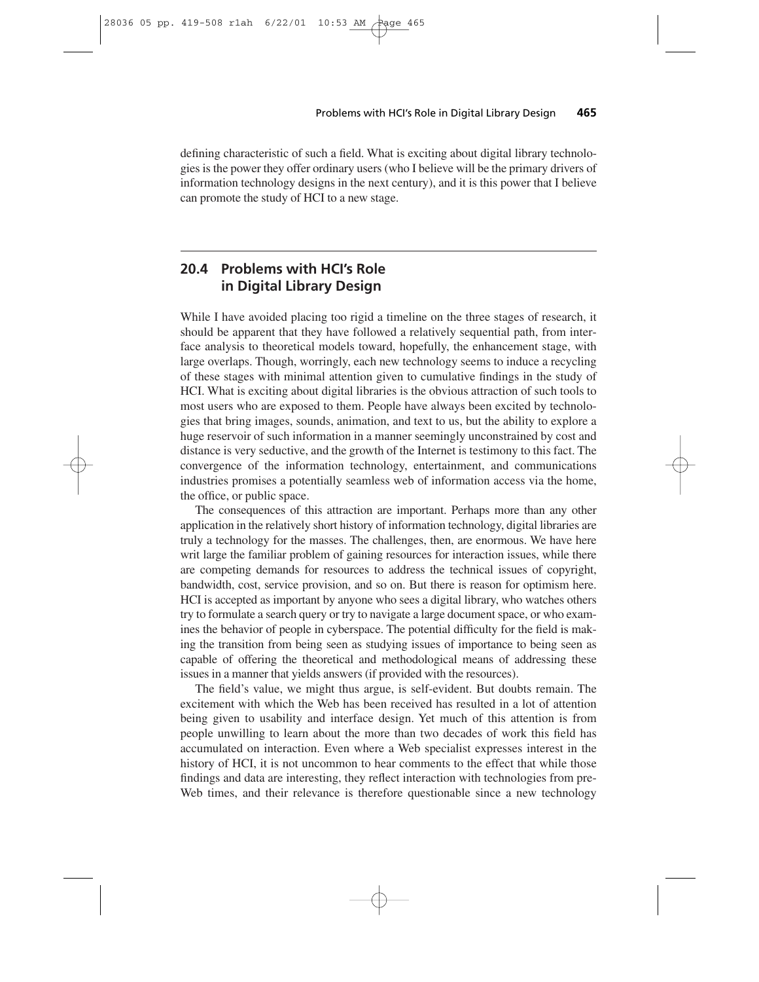### Problems with HCI's Role in Digital Library Design **465**

 $\overline{1}$ 21  $\overline{\mathcal{A}}$ 23 24

defining characteristic of such a field. What is exciting about digital library technologies is the power they offer ordinary users (who I believe will be the primary drivers of information technology designs in the next century), and it is this power that I believe can promote the study of HCI to a new stage.

# **20.4 Problems with HCI's Role in Digital Library Design**

While I have avoided placing too rigid a timeline on the three stages of research, it should be apparent that they have followed a relatively sequential path, from interface analysis to theoretical models toward, hopefully, the enhancement stage, with large overlaps. Though, worringly, each new technology seems to induce a recycling of these stages with minimal attention given to cumulative findings in the study of HCI. What is exciting about digital libraries is the obvious attraction of such tools to most users who are exposed to them. People have always been excited by technologies that bring images, sounds, animation, and text to us, but the ability to explore a huge reservoir of such information in a manner seemingly unconstrained by cost and distance is very seductive, and the growth of the Internet is testimony to this fact. The convergence of the information technology, entertainment, and communications industries promises a potentially seamless web of information access via the home, the office, or public space.

The consequences of this attraction are important. Perhaps more than any other application in the relatively short history of information technology, digital libraries are truly a technology for the masses. The challenges, then, are enormous. We have here writ large the familiar problem of gaining resources for interaction issues, while there are competing demands for resources to address the technical issues of copyright, bandwidth, cost, service provision, and so on. But there is reason for optimism here. HCI is accepted as important by anyone who sees a digital library, who watches others try to formulate a search query or try to navigate a large document space, or who examines the behavior of people in cyberspace. The potential difficulty for the field is making the transition from being seen as studying issues of importance to being seen as capable of offering the theoretical and methodological means of addressing these issues in a manner that yields answers (if provided with the resources).

The field's value, we might thus argue, is self-evident. But doubts remain. The excitement with which the Web has been received has resulted in a lot of attention being given to usability and interface design. Yet much of this attention is from people unwilling to learn about the more than two decades of work this field has accumulated on interaction. Even where a Web specialist expresses interest in the history of HCI, it is not uncommon to hear comments to the effect that while those findings and data are interesting, they reflect interaction with technologies from pre-Web times, and their relevance is therefore questionable since a new technology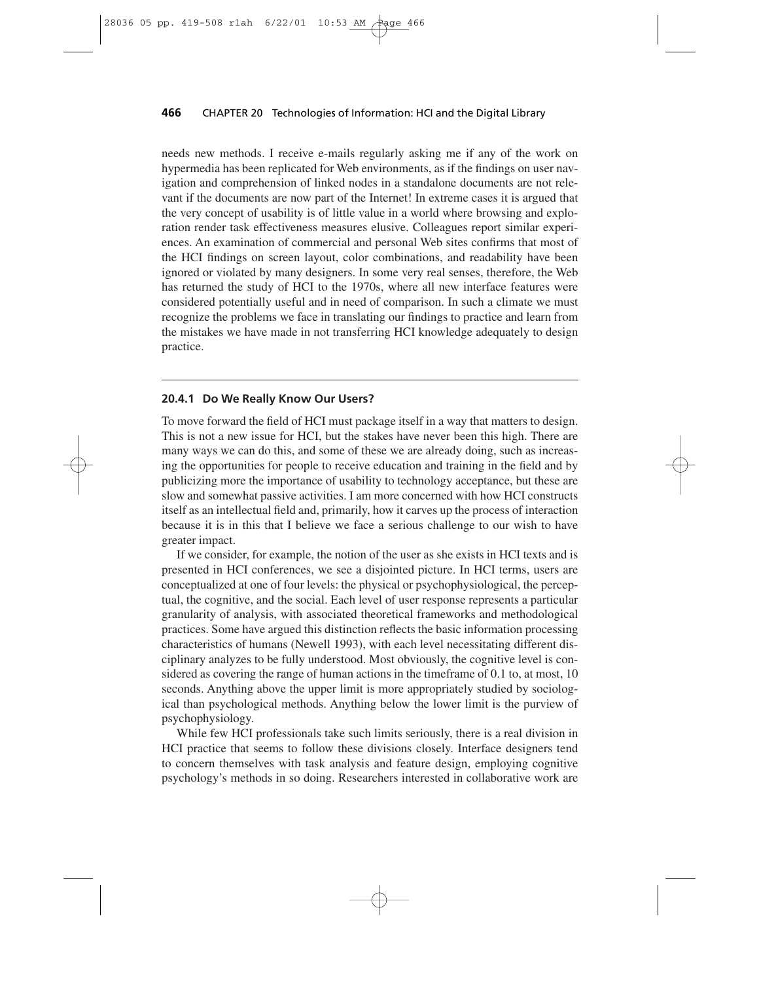needs new methods. I receive e-mails regularly asking me if any of the work on hypermedia has been replicated for Web environments, as if the findings on user navigation and comprehension of linked nodes in a standalone documents are not relevant if the documents are now part of the Internet! In extreme cases it is argued that the very concept of usability is of little value in a world where browsing and exploration render task effectiveness measures elusive. Colleagues report similar experiences. An examination of commercial and personal Web sites confirms that most of the HCI findings on screen layout, color combinations, and readability have been ignored or violated by many designers. In some very real senses, therefore, the Web has returned the study of HCI to the 1970s, where all new interface features were considered potentially useful and in need of comparison. In such a climate we must recognize the problems we face in translating our findings to practice and learn from the mistakes we have made in not transferring HCI knowledge adequately to design practice.

#### **20.4.1 Do We Really Know Our Users?**

 $\mathbb{R}^2$ 21  $\rightarrow$ 23 24 To move forward the field of HCI must package itself in a way that matters to design. This is not a new issue for HCI, but the stakes have never been this high. There are many ways we can do this, and some of these we are already doing, such as increasing the opportunities for people to receive education and training in the field and by publicizing more the importance of usability to technology acceptance, but these are slow and somewhat passive activities. I am more concerned with how HCI constructs itself as an intellectual field and, primarily, how it carves up the process of interaction because it is in this that I believe we face a serious challenge to our wish to have greater impact.

If we consider, for example, the notion of the user as she exists in HCI texts and is presented in HCI conferences, we see a disjointed picture. In HCI terms, users are conceptualized at one of four levels: the physical or psychophysiological, the perceptual, the cognitive, and the social. Each level of user response represents a particular granularity of analysis, with associated theoretical frameworks and methodological practices. Some have argued this distinction reflects the basic information processing characteristics of humans (Newell 1993), with each level necessitating different disciplinary analyzes to be fully understood. Most obviously, the cognitive level is considered as covering the range of human actions in the timeframe of 0.1 to, at most, 10 seconds. Anything above the upper limit is more appropriately studied by sociological than psychological methods. Anything below the lower limit is the purview of psychophysiology.

While few HCI professionals take such limits seriously, there is a real division in HCI practice that seems to follow these divisions closely. Interface designers tend to concern themselves with task analysis and feature design, employing cognitive psychology's methods in so doing. Researchers interested in collaborative work are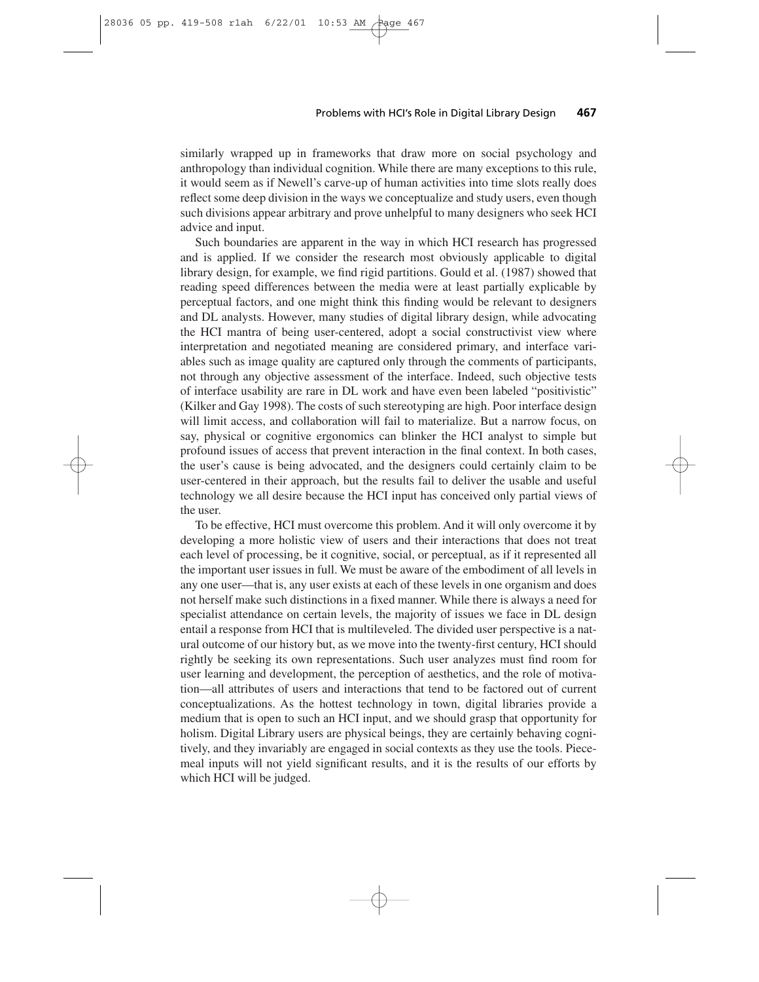similarly wrapped up in frameworks that draw more on social psychology and anthropology than individual cognition. While there are many exceptions to this rule, it would seem as if Newell's carve-up of human activities into time slots really does reflect some deep division in the ways we conceptualize and study users, even though such divisions appear arbitrary and prove unhelpful to many designers who seek HCI advice and input.

Such boundaries are apparent in the way in which HCI research has progressed and is applied. If we consider the research most obviously applicable to digital library design, for example, we find rigid partitions. Gould et al. (1987) showed that reading speed differences between the media were at least partially explicable by perceptual factors, and one might think this finding would be relevant to designers and DL analysts. However, many studies of digital library design, while advocating the HCI mantra of being user-centered, adopt a social constructivist view where interpretation and negotiated meaning are considered primary, and interface variables such as image quality are captured only through the comments of participants, not through any objective assessment of the interface. Indeed, such objective tests of interface usability are rare in DL work and have even been labeled "positivistic" (Kilker and Gay 1998). The costs of such stereotyping are high. Poor interface design will limit access, and collaboration will fail to materialize. But a narrow focus, on say, physical or cognitive ergonomics can blinker the HCI analyst to simple but profound issues of access that prevent interaction in the final context. In both cases, the user's cause is being advocated, and the designers could certainly claim to be user-centered in their approach, but the results fail to deliver the usable and useful technology we all desire because the HCI input has conceived only partial views of the user.

To be effective, HCI must overcome this problem. And it will only overcome it by developing a more holistic view of users and their interactions that does not treat each level of processing, be it cognitive, social, or perceptual, as if it represented all the important user issues in full. We must be aware of the embodiment of all levels in any one user—that is, any user exists at each of these levels in one organism and does not herself make such distinctions in a fixed manner. While there is always a need for specialist attendance on certain levels, the majority of issues we face in DL design entail a response from HCI that is multileveled. The divided user perspective is a natural outcome of our history but, as we move into the twenty-first century, HCI should rightly be seeking its own representations. Such user analyzes must find room for user learning and development, the perception of aesthetics, and the role of motivation—all attributes of users and interactions that tend to be factored out of current conceptualizations. As the hottest technology in town, digital libraries provide a medium that is open to such an HCI input, and we should grasp that opportunity for holism. Digital Library users are physical beings, they are certainly behaving cognitively, and they invariably are engaged in social contexts as they use the tools. Piecemeal inputs will not yield significant results, and it is the results of our efforts by which HCI will be judged.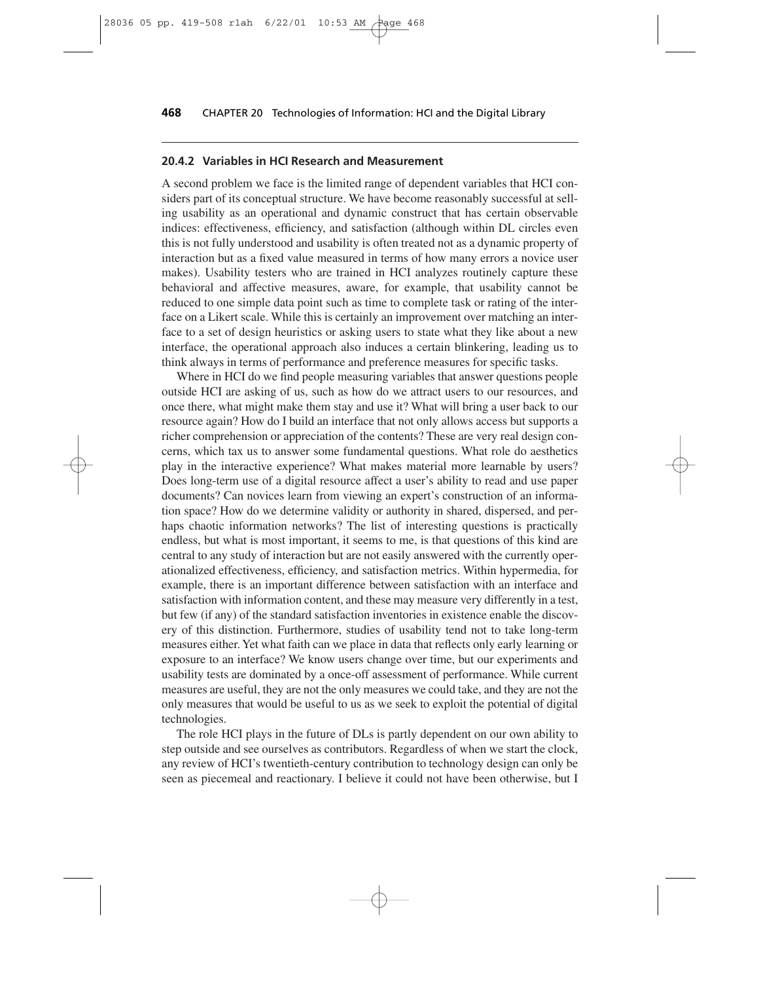28036 05 pp. 419-508 r1ah 6/22/01 10:53 AM

 $\mathbb{R}^2$ 21  $\rightarrow$ 23 24 **468** CHAPTER 20 Technologies of Information: HCI and the Digital Library

## **20.4.2 Variables in HCI Research and Measurement**

A second problem we face is the limited range of dependent variables that HCI considers part of its conceptual structure. We have become reasonably successful at selling usability as an operational and dynamic construct that has certain observable indices: effectiveness, efficiency, and satisfaction (although within DL circles even this is not fully understood and usability is often treated not as a dynamic property of interaction but as a fixed value measured in terms of how many errors a novice user makes). Usability testers who are trained in HCI analyzes routinely capture these behavioral and affective measures, aware, for example, that usability cannot be reduced to one simple data point such as time to complete task or rating of the interface on a Likert scale. While this is certainly an improvement over matching an interface to a set of design heuristics or asking users to state what they like about a new interface, the operational approach also induces a certain blinkering, leading us to think always in terms of performance and preference measures for specific tasks.

Where in HCI do we find people measuring variables that answer questions people outside HCI are asking of us, such as how do we attract users to our resources, and once there, what might make them stay and use it? What will bring a user back to our resource again? How do I build an interface that not only allows access but supports a richer comprehension or appreciation of the contents? These are very real design concerns, which tax us to answer some fundamental questions. What role do aesthetics play in the interactive experience? What makes material more learnable by users? Does long-term use of a digital resource affect a user's ability to read and use paper documents? Can novices learn from viewing an expert's construction of an information space? How do we determine validity or authority in shared, dispersed, and perhaps chaotic information networks? The list of interesting questions is practically endless, but what is most important, it seems to me, is that questions of this kind are central to any study of interaction but are not easily answered with the currently operationalized effectiveness, efficiency, and satisfaction metrics. Within hypermedia, for example, there is an important difference between satisfaction with an interface and satisfaction with information content, and these may measure very differently in a test, but few (if any) of the standard satisfaction inventories in existence enable the discovery of this distinction. Furthermore, studies of usability tend not to take long-term measures either. Yet what faith can we place in data that reflects only early learning or exposure to an interface? We know users change over time, but our experiments and usability tests are dominated by a once-off assessment of performance. While current measures are useful, they are not the only measures we could take, and they are not the only measures that would be useful to us as we seek to exploit the potential of digital technologies.

The role HCI plays in the future of DLs is partly dependent on our own ability to step outside and see ourselves as contributors. Regardless of when we start the clock, any review of HCI's twentieth-century contribution to technology design can only be seen as piecemeal and reactionary. I believe it could not have been otherwise, but I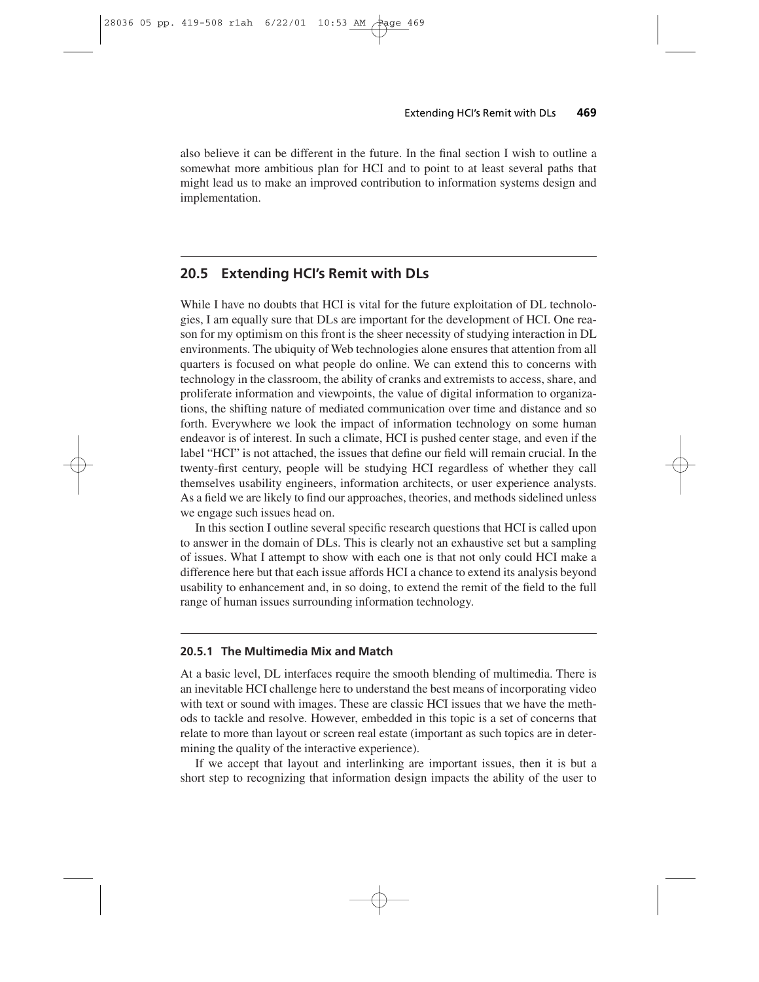# Extending HCI's Remit with DLs **469**

 $\overline{1}$ 21  $\overline{\mathcal{A}}$ 23 24

also believe it can be different in the future. In the final section I wish to outline a somewhat more ambitious plan for HCI and to point to at least several paths that might lead us to make an improved contribution to information systems design and implementation.

# **20.5 Extending HCI's Remit with DLs**

While I have no doubts that HCI is vital for the future exploitation of DL technologies, I am equally sure that DLs are important for the development of HCI. One reason for my optimism on this front is the sheer necessity of studying interaction in DL environments. The ubiquity of Web technologies alone ensures that attention from all quarters is focused on what people do online. We can extend this to concerns with technology in the classroom, the ability of cranks and extremists to access, share, and proliferate information and viewpoints, the value of digital information to organizations, the shifting nature of mediated communication over time and distance and so forth. Everywhere we look the impact of information technology on some human endeavor is of interest. In such a climate, HCI is pushed center stage, and even if the label "HCI" is not attached, the issues that define our field will remain crucial. In the twenty-first century, people will be studying HCI regardless of whether they call themselves usability engineers, information architects, or user experience analysts. As a field we are likely to find our approaches, theories, and methods sidelined unless we engage such issues head on.

In this section I outline several specific research questions that HCI is called upon to answer in the domain of DLs. This is clearly not an exhaustive set but a sampling of issues. What I attempt to show with each one is that not only could HCI make a difference here but that each issue affords HCI a chance to extend its analysis beyond usability to enhancement and, in so doing, to extend the remit of the field to the full range of human issues surrounding information technology.

#### **20.5.1 The Multimedia Mix and Match**

At a basic level, DL interfaces require the smooth blending of multimedia. There is an inevitable HCI challenge here to understand the best means of incorporating video with text or sound with images. These are classic HCI issues that we have the methods to tackle and resolve. However, embedded in this topic is a set of concerns that relate to more than layout or screen real estate (important as such topics are in determining the quality of the interactive experience).

If we accept that layout and interlinking are important issues, then it is but a short step to recognizing that information design impacts the ability of the user to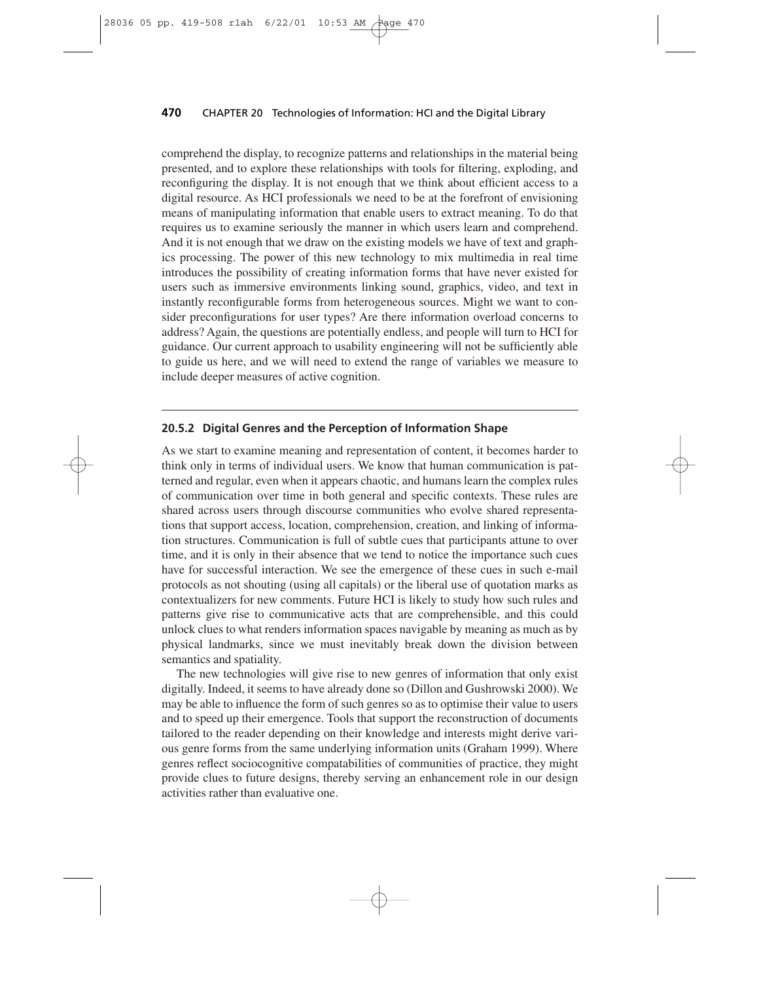comprehend the display, to recognize patterns and relationships in the material being presented, and to explore these relationships with tools for filtering, exploding, and reconfiguring the display. It is not enough that we think about efficient access to a digital resource. As HCI professionals we need to be at the forefront of envisioning means of manipulating information that enable users to extract meaning. To do that requires us to examine seriously the manner in which users learn and comprehend. And it is not enough that we draw on the existing models we have of text and graphics processing. The power of this new technology to mix multimedia in real time introduces the possibility of creating information forms that have never existed for users such as immersive environments linking sound, graphics, video, and text in instantly reconfigurable forms from heterogeneous sources. Might we want to consider preconfigurations for user types? Are there information overload concerns to address? Again, the questions are potentially endless, and people will turn to HCI for guidance. Our current approach to usability engineering will not be sufficiently able to guide us here, and we will need to extend the range of variables we measure to include deeper measures of active cognition.

## **20.5.2 Digital Genres and the Perception of Information Shape**

 $\mathbb{R}^2$ 21  $\rightarrow$ 23 24

As we start to examine meaning and representation of content, it becomes harder to think only in terms of individual users. We know that human communication is patterned and regular, even when it appears chaotic, and humans learn the complex rules of communication over time in both general and specific contexts. These rules are shared across users through discourse communities who evolve shared representations that support access, location, comprehension, creation, and linking of information structures. Communication is full of subtle cues that participants attune to over time, and it is only in their absence that we tend to notice the importance such cues have for successful interaction. We see the emergence of these cues in such e-mail protocols as not shouting (using all capitals) or the liberal use of quotation marks as contextualizers for new comments. Future HCI is likely to study how such rules and patterns give rise to communicative acts that are comprehensible, and this could unlock clues to what renders information spaces navigable by meaning as much as by physical landmarks, since we must inevitably break down the division between semantics and spatiality.

The new technologies will give rise to new genres of information that only exist digitally. Indeed, it seems to have already done so (Dillon and Gushrowski 2000). We may be able to influence the form of such genres so as to optimise their value to users and to speed up their emergence. Tools that support the reconstruction of documents tailored to the reader depending on their knowledge and interests might derive various genre forms from the same underlying information units (Graham 1999). Where genres reflect sociocognitive compatabilities of communities of practice, they might provide clues to future designs, thereby serving an enhancement role in our design activities rather than evaluative one.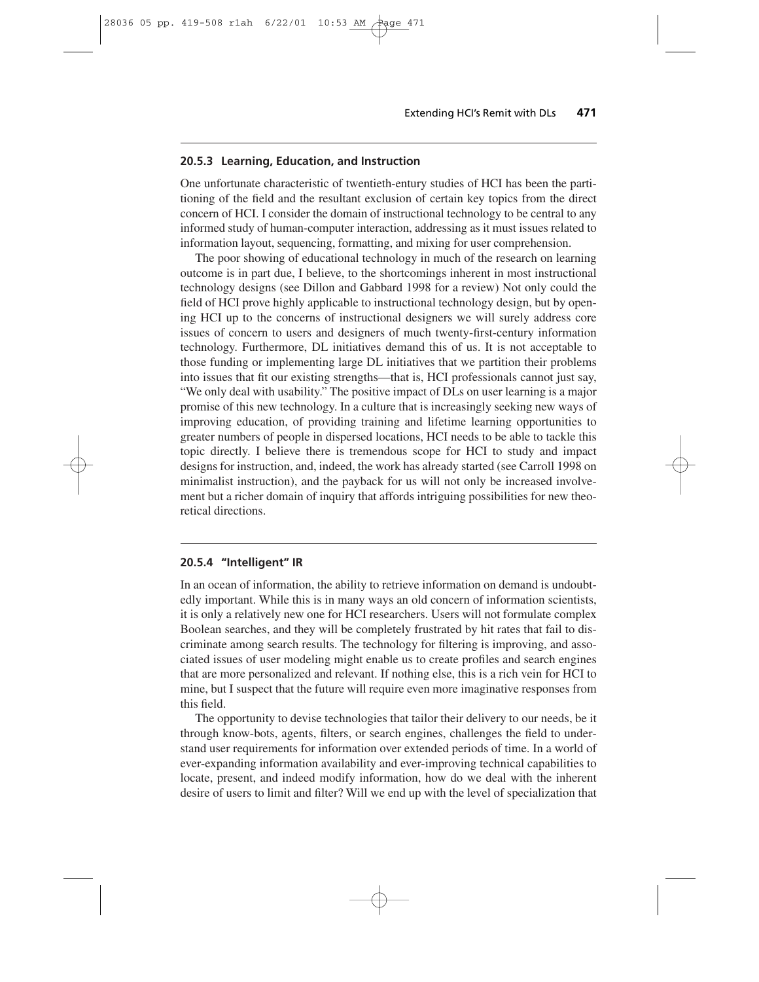#### **20.5.3 Learning, Education, and Instruction**

One unfortunate characteristic of twentieth-entury studies of HCI has been the partitioning of the field and the resultant exclusion of certain key topics from the direct concern of HCI. I consider the domain of instructional technology to be central to any informed study of human-computer interaction, addressing as it must issues related to information layout, sequencing, formatting, and mixing for user comprehension.

The poor showing of educational technology in much of the research on learning outcome is in part due, I believe, to the shortcomings inherent in most instructional technology designs (see Dillon and Gabbard 1998 for a review) Not only could the field of HCI prove highly applicable to instructional technology design, but by opening HCI up to the concerns of instructional designers we will surely address core issues of concern to users and designers of much twenty-first-century information technology. Furthermore, DL initiatives demand this of us. It is not acceptable to those funding or implementing large DL initiatives that we partition their problems into issues that fit our existing strengths—that is, HCI professionals cannot just say, "We only deal with usability." The positive impact of DLs on user learning is a major promise of this new technology. In a culture that is increasingly seeking new ways of improving education, of providing training and lifetime learning opportunities to greater numbers of people in dispersed locations, HCI needs to be able to tackle this topic directly. I believe there is tremendous scope for HCI to study and impact designs for instruction, and, indeed, the work has already started (see Carroll 1998 on minimalist instruction), and the payback for us will not only be increased involvement but a richer domain of inquiry that affords intriguing possibilities for new theoretical directions.

## **20.5.4 "Intelligent" IR**

In an ocean of information, the ability to retrieve information on demand is undoubtedly important. While this is in many ways an old concern of information scientists, it is only a relatively new one for HCI researchers. Users will not formulate complex Boolean searches, and they will be completely frustrated by hit rates that fail to discriminate among search results. The technology for filtering is improving, and associated issues of user modeling might enable us to create profiles and search engines that are more personalized and relevant. If nothing else, this is a rich vein for HCI to mine, but I suspect that the future will require even more imaginative responses from this field.

The opportunity to devise technologies that tailor their delivery to our needs, be it through know-bots, agents, filters, or search engines, challenges the field to understand user requirements for information over extended periods of time. In a world of ever-expanding information availability and ever-improving technical capabilities to locate, present, and indeed modify information, how do we deal with the inherent desire of users to limit and filter? Will we end up with the level of specialization that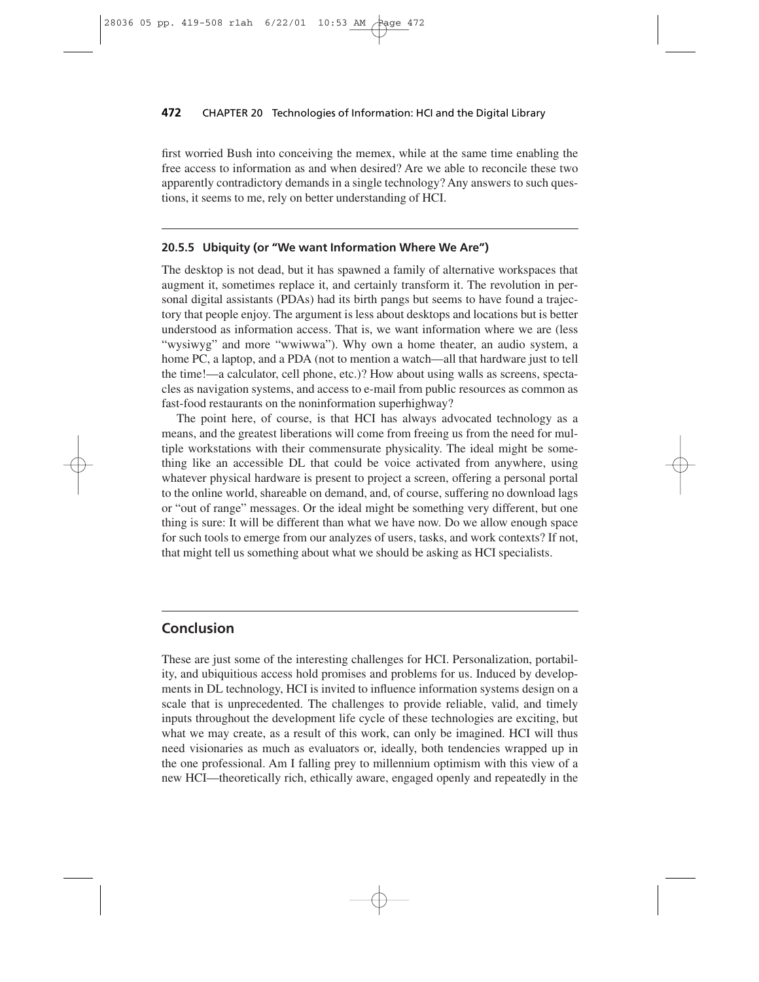first worried Bush into conceiving the memex, while at the same time enabling the free access to information as and when desired? Are we able to reconcile these two apparently contradictory demands in a single technology? Any answers to such questions, it seems to me, rely on better understanding of HCI.

## **20.5.5 Ubiquity (or "We want Information Where We Are")**

The desktop is not dead, but it has spawned a family of alternative workspaces that augment it, sometimes replace it, and certainly transform it. The revolution in personal digital assistants (PDAs) had its birth pangs but seems to have found a trajectory that people enjoy. The argument is less about desktops and locations but is better understood as information access. That is, we want information where we are (less "wysiwyg" and more "wwiwwa"). Why own a home theater, an audio system, a home PC, a laptop, and a PDA (not to mention a watch—all that hardware just to tell the time!—a calculator, cell phone, etc.)? How about using walls as screens, spectacles as navigation systems, and access to e-mail from public resources as common as fast-food restaurants on the noninformation superhighway?

The point here, of course, is that HCI has always advocated technology as a means, and the greatest liberations will come from freeing us from the need for multiple workstations with their commensurate physicality. The ideal might be something like an accessible DL that could be voice activated from anywhere, using whatever physical hardware is present to project a screen, offering a personal portal to the online world, shareable on demand, and, of course, suffering no download lags or "out of range" messages. Or the ideal might be something very different, but one thing is sure: It will be different than what we have now. Do we allow enough space for such tools to emerge from our analyzes of users, tasks, and work contexts? If not, that might tell us something about what we should be asking as HCI specialists.

# **Conclusion**

 $\mathbb{R}^2$ 21  $\rightarrow$ 23 24

> These are just some of the interesting challenges for HCI. Personalization, portability, and ubiquitious access hold promises and problems for us. Induced by developments in DL technology, HCI is invited to influence information systems design on a scale that is unprecedented. The challenges to provide reliable, valid, and timely inputs throughout the development life cycle of these technologies are exciting, but what we may create, as a result of this work, can only be imagined. HCI will thus need visionaries as much as evaluators or, ideally, both tendencies wrapped up in the one professional. Am I falling prey to millennium optimism with this view of a new HCI—theoretically rich, ethically aware, engaged openly and repeatedly in the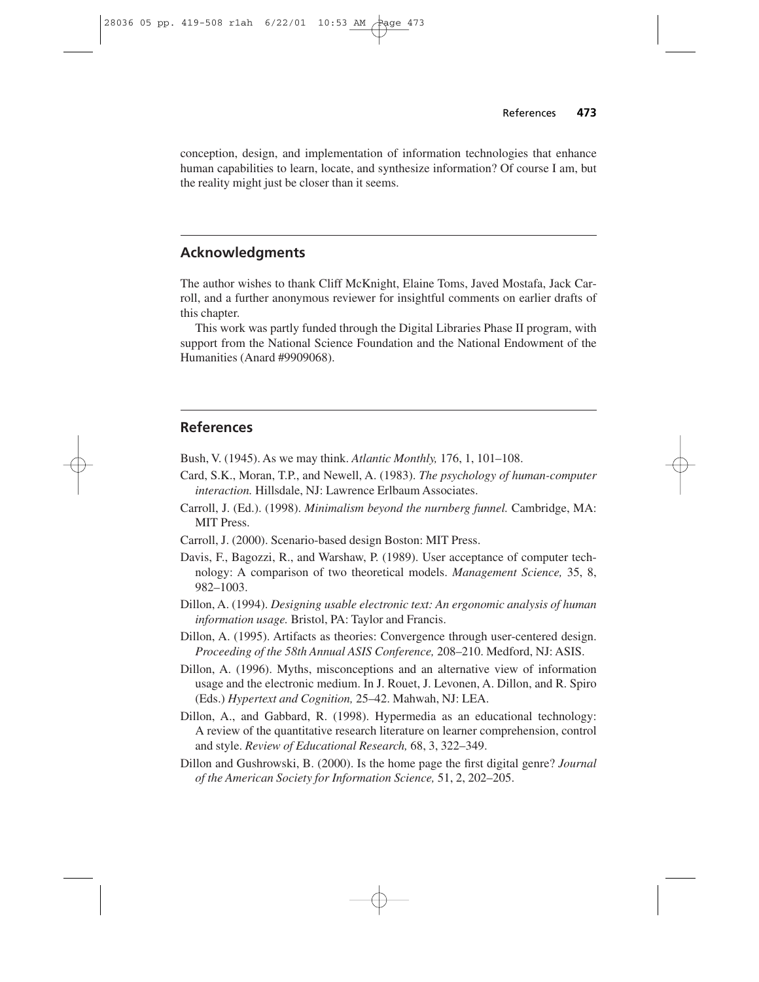conception, design, and implementation of information technologies that enhance human capabilities to learn, locate, and synthesize information? Of course I am, but the reality might just be closer than it seems.

# **Acknowledgments**

The author wishes to thank Cliff McKnight, Elaine Toms, Javed Mostafa, Jack Carroll, and a further anonymous reviewer for insightful comments on earlier drafts of this chapter.

This work was partly funded through the Digital Libraries Phase II program, with support from the National Science Foundation and the National Endowment of the Humanities (Anard #9909068).

# **References**

Bush, V. (1945). As we may think. *Atlantic Monthly,* 176, 1, 101–108.

- Card, S.K., Moran, T.P., and Newell, A. (1983). *The psychology of human-computer interaction.* Hillsdale, NJ: Lawrence Erlbaum Associates.
- Carroll, J. (Ed.). (1998). *Minimalism beyond the nurnberg funnel.* Cambridge, MA: MIT Press.
- Carroll, J. (2000). Scenario-based design Boston: MIT Press.
- Davis, F., Bagozzi, R., and Warshaw, P. (1989). User acceptance of computer technology: A comparison of two theoretical models. *Management Science,* 35, 8, 982–1003.
- Dillon, A. (1994). *Designing usable electronic text: An ergonomic analysis of human information usage.* Bristol, PA: Taylor and Francis.
- Dillon, A. (1995). Artifacts as theories: Convergence through user-centered design. *Proceeding of the 58th Annual ASIS Conference,* 208–210. Medford, NJ: ASIS.
- Dillon, A. (1996). Myths, misconceptions and an alternative view of information usage and the electronic medium. In J. Rouet, J. Levonen, A. Dillon, and R. Spiro (Eds.) *Hypertext and Cognition,* 25–42. Mahwah, NJ: LEA.
- Dillon, A., and Gabbard, R. (1998). Hypermedia as an educational technology: A review of the quantitative research literature on learner comprehension, control and style. *Review of Educational Research,* 68, 3, 322–349.
- Dillon and Gushrowski, B. (2000). Is the home page the first digital genre? *Journal of the American Society for Information Science,* 51, 2, 202–205.